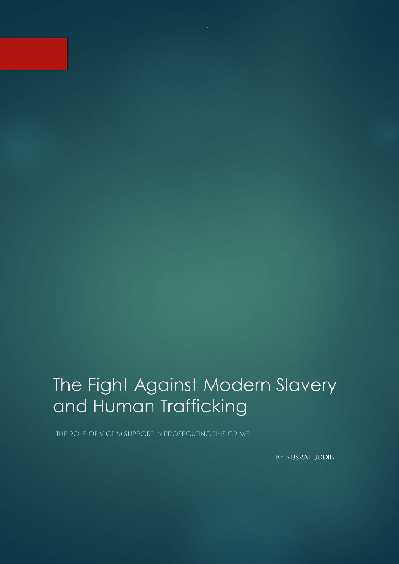# The Fight Against Modern Slavery and Human Trafficking

BY NUSRAT UDDIN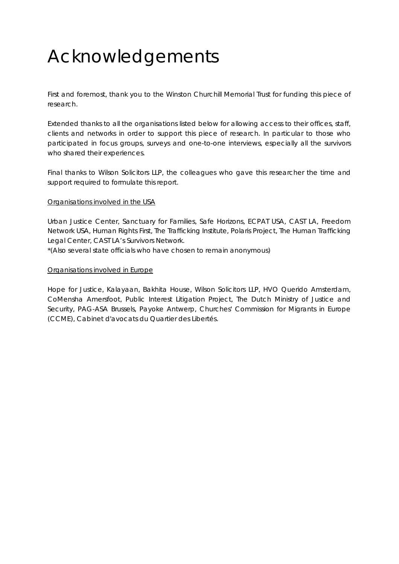# Acknowledgements

First and foremost, thank you to the Winston Churchill Memorial Trust for funding this piece of research.

Extended thanks to all the organisations listed below for allowing access to their offices, staff, clients and networks in order to support this piece of research. In particular to those who participated in focus groups, surveys and one-to-one interviews, especially all the survivors who shared their experiences.

Final thanks to Wilson Solicitors LLP, the colleagues who gave this researcher the time and support required to formulate this report.

#### Organisations involved in the USA

Urban Justice Center, Sanctuary for Families, Safe Horizons, ECPAT USA, CAST LA, Freedom Network USA, Human Rights First, The Trafficking Institute, Polaris Project, The Human Trafficking Legal Center, CAST LA's Survivors Network.

\*(Also several state officials who have chosen to remain anonymous)

#### Organisations involved in Europe

Hope for Justice, Kalayaan, Bakhita House, Wilson Solicitors LLP, HVO Querido Amsterdam, CoMensha Amersfoot, Public Interest Litigation Project, The Dutch Ministry of Justice and Security, PAG-ASA Brussels, Payoke Antwerp, Churches' Commission for Migrants in Europe (CCME), Cabinet d'avocats du Quartier des Libertés.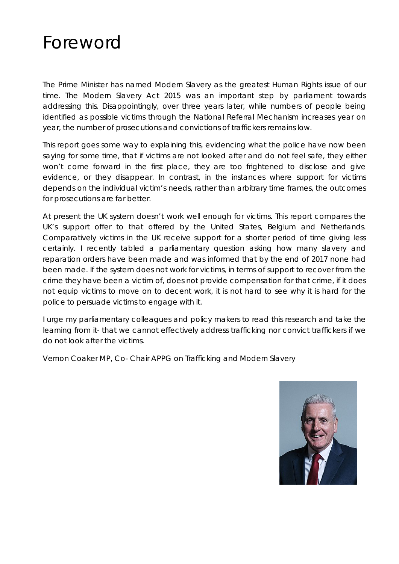### Foreword

*The Prime Minister has named Modern Slavery as the greatest Human Rights issue of our time. The Modern Slavery Act 2015 was an important step by parliament towards*  addressing this. Disappointingly, over three years later, while numbers of people being *identified as possible victims through the National Referral Mechanism increases year on year, the number of prosecutions and convictions of traffickers remains low.*

*This report goes some way to explaining this, evidencing what the police have now been*  saying for some time, that if victims are not looked after and do not feel safe, they either won't come forward in the first place, they are too frightened to disclose and give *evidence, or they disappear. In contrast, in the instances where support for victims depends on the individual victim's needs, rather than arbitrary time frames, the outcomes for prosecutions are far better.*

*At present the UK system doesn't work well enough for victims. This report compares the*  UK's support offer to that offered by the United States, Belgium and Netherlands. *Comparatively victims in the UK receive support for a shorter period of time giving less certainly. I recently tabled a parliamentary question asking how many slavery and reparation orders have been made and was informed that by the end of 2017 none had*  been made. If the system does not work for victims, in terms of support to recover from the *crime they have been a victim of, does not provide compensation for that crime, if it does not equip victims to move on to decent work, it is not hard to see why it is hard for the police to persuade victims to engage with it.*

*I* urge my parliamentary colleagues and policy makers to read this research and take the *learning from it- that we cannot effectively address trafficking nor convict traffickers if we do not look after the victims.*

*Vernon Coaker MP, Co- Chair APPG on Trafficking and Modern Slavery*

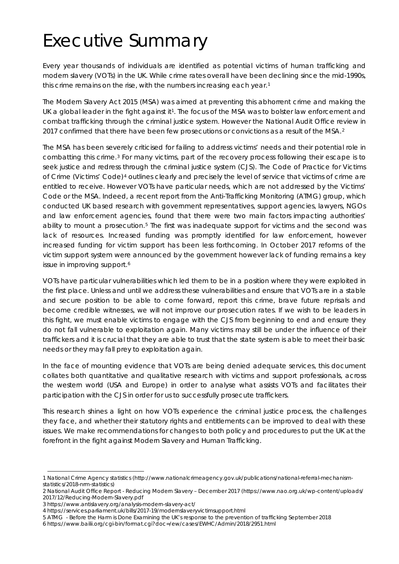# Executive Summary

Every year thousands of individuals are identified as potential victims of human trafficking and modern slavery (VOTs) in the UK. While crime rates overall have been declining since the mid-1990s, this crime remains on the rise, with the numbers increasing each year.<sup>[1](#page-3-0)</sup>

The Modern Slavery Act 2015 (MSA) was aimed at preventing this abhorrent crime and making the UK a global leader in the fight against it<sup>1</sup>. The focus of the MSA was to bolster law enforcement and combat trafficking through the criminal justice system. However the National Audit Office review in [2](#page-3-1)017 confirmed that there have been few prosecutions or convictions as a result of the MSA.<sup>2</sup>

The MSA has been severely criticised for failing to address victims' needs and their potential role in combatting this crime.[3](#page-3-2) For many victims, part of the recovery process following their escape is to seek justice and redress through the criminal justice system (CJS). The Code of Practice for Victims of Crime (Victims' Code)<sup>[4](#page-3-3)</sup> outlines clearly and precisely the level of service that victims of crime are entitled to receive. However VOTs have particular needs, which are not addressed by the Victims' Code or the MSA. Indeed, a recent report from the Anti-Trafficking Monitoring (ATMG) group, which conducted UK based research with government representatives, support agencies, lawyers, NGOs and law enforcement agencies, found that there were two main factors impacting authorities' ability to mount a prosecution.[5](#page-3-4) The first was inadequate support for victims and the second was lack of resources. Increased funding was promptly identified for law enforcement, however increased funding for victim support has been less forthcoming. In October 2017 reforms of the victim support system were announced by the government however lack of funding remains a key issue in improving support.<sup>[6](#page-3-5)</sup>

VOTs have particular vulnerabilities which led them to be in a position where they were exploited in the first place. Unless and until we address these vulnerabilities and ensure that VOTs are in a stable and secure position to be able to come forward, report this crime, brave future reprisals and become credible witnesses, we will not improve our prosecution rates. If we wish to be leaders in this fight, we must enable victims to engage with the CJS from beginning to end and ensure they do not fall vulnerable to exploitation again. Many victims may still be under the influence of their traffickers and it is crucial that they are able to trust that the state system is able to meet their basic needs or they may fall prey to exploitation again.

In the face of mounting evidence that VOTs are being denied adequate services, this document collates both quantitative and qualitative research with victims and support professionals, across the western world (USA and Europe) in order to analyse what assists VOTs and facilitates their participation with the CJS in order for us to successfully prosecute traffickers.

This research shines a light on how VOTs experience the criminal justice process, the challenges they face, and whether their statutory rights and entitlements can be improved to deal with these issues. We make recommendations for changes to both policy and procedures to put the UK at the forefront in the fight against Modern Slavery and Human Trafficking.

1

<span id="page-3-0"></span><sup>1</sup> National Crime Agency statistics (http://www.nationalcrimeagency.gov.uk/publications/national-referral-mechanismstatistics/2018-nrm-statistics)

<span id="page-3-1"></span><sup>2</sup> National Audit Office Report - Reducing Modern Slavery – December 2017 (https://www.nao.org.uk/wp-content/uploads/ 2017/12/Reducing-Modern-Slavery.pdf

<span id="page-3-2"></span><sup>3</sup> https://www.antislavery.org/analysis-modern-slavery-act/

<span id="page-3-4"></span><span id="page-3-3"></span><sup>4</sup> https://services.parliament.uk/bills/2017-19/modernslaveryvictimsupport.html

<sup>5</sup> ATMG - Before the Harm is Done Examining the UK's response to the prevention of trafficking September 2018

<span id="page-3-5"></span><sup>6</sup> https://www.bailii.org/cgi-bin/format.cgi?doc=/ew/cases/EWHC/Admin/2018/2951.html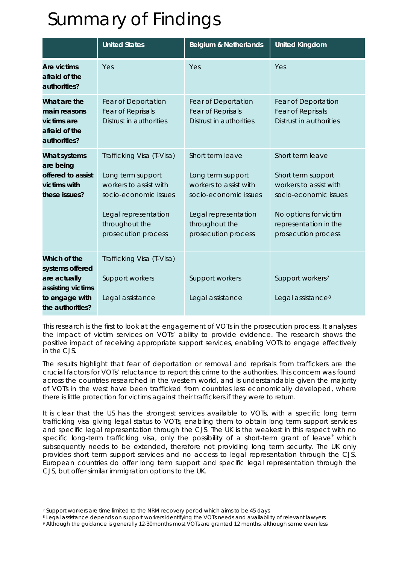# Summary of Findings

|                                                                                                            | <b>United States</b>                                                                                                                                               | <b>Belgium &amp; Netherlands</b>                                                                                                                          | <b>United Kingdom</b>                                                                                                                                              |
|------------------------------------------------------------------------------------------------------------|--------------------------------------------------------------------------------------------------------------------------------------------------------------------|-----------------------------------------------------------------------------------------------------------------------------------------------------------|--------------------------------------------------------------------------------------------------------------------------------------------------------------------|
| <b>Are victims</b><br>afraid of the<br>authorities?                                                        | Yes                                                                                                                                                                | Yes                                                                                                                                                       | Yes                                                                                                                                                                |
| What are the<br>main reasons<br>victims are<br>afraid of the<br>authorities?                               | Fear of Deportation<br>Fear of Reprisals<br>Distrust in authorities                                                                                                | Fear of Deportation<br>Fear of Reprisals<br>Distrust in authorities                                                                                       | Fear of Deportation<br>Fear of Reprisals<br>Distrust in authorities                                                                                                |
| What systems<br>are being<br>offered to assist<br>victims with<br>these issues?                            | Trafficking Visa (T-Visa)<br>Long term support<br>workers to assist with<br>socio-economic issues<br>Legal representation<br>throughout the<br>prosecution process | Short term leave<br>Long term support<br>workers to assist with<br>socio-economic issues<br>Legal representation<br>throughout the<br>prosecution process | Short term leave<br>Short term support<br>workers to assist with<br>socio-economic issues<br>No options for victim<br>representation in the<br>prosecution process |
| Which of the<br>systems offered<br>are actually<br>assisting victims<br>to engage with<br>the authorities? | Trafficking Visa (T-Visa)<br>Support workers<br>Legal assistance                                                                                                   | Support workers<br>Legal assistance                                                                                                                       | Support workers <sup>7</sup><br>Legal assistance <sup>8</sup>                                                                                                      |

This research is the first to look at the engagement of VOTs in the prosecution process. It analyses the impact of victim services on VOTs' ability to provide evidence. The research shows the positive impact of receiving appropriate support services, enabling VOTs to engage effectively in the CJS.

The results highlight that fear of deportation or removal and reprisals from traffickers are the crucial factors for VOTs' reluctance to report this crime to the authorities. This concern was found across the countries researched in the western world, and is understandable given the majority of VOTs in the west have been trafficked from countries less economically developed, where there is little protection for victims against their traffickers if they were to return.

It is clear that the US has the strongest services available to VOTs, with a specific long term trafficking visa giving legal status to VOTs, enabling them to obtain long term support services and specific legal representation through the CJS. The UK is the weakest in this respect with no specific long-term trafficking visa, only the possibility of a short-term grant of leave $9$  which subsequently needs to be extended, therefore not providing long term security. The UK only provides short term support services and no access to legal representation through the CJS. European countries do offer long term support and specific legal representation through the CJS, but offer similar immigration options to the UK.

1

<span id="page-4-0"></span><sup>7</sup> Support workers are time limited to the NRM recovery period which aims to be 45 days

<span id="page-4-1"></span><sup>8</sup> Legal assistance depends on support workers identifying the VOTs needs and availability of relevant lawyers

<span id="page-4-2"></span><sup>9</sup> Although the guidance is generally 12-30months most VOTs are granted 12 months, although some even less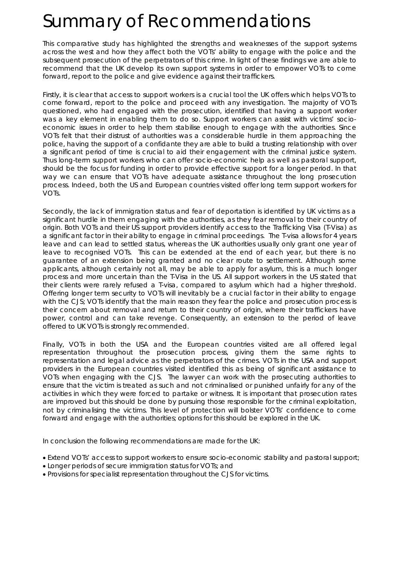### Summary of Recommendations

This comparative study has highlighted the strengths and weaknesses of the support systems across the west and how they affect both the VOTs' ability to engage with the police and the subsequent prosecution of the perpetrators of this crime. In light of these findings we are able to recommend that the UK develop its own support systems in order to empower VOTs to come forward, report to the police and give evidence against their traffickers.

Firstly, it is clear that access to support workers is a crucial tool the UK offers which helps VOTs to come forward, report to the police and proceed with any investigation. The majority of VOTs questioned, who had engaged with the prosecution, identified that having a support worker was a key element in enabling them to do so. Support workers can assist with victims' socioeconomic issues in order to help them stabilise enough to engage with the authorities. Since VOTs felt that their distrust of authorities was a considerable hurdle in them approaching the police, having the support of a confidante they are able to build a trusting relationship with over a significant period of time is crucial to aid their engagement with the criminal justice system. Thus long-term support workers who can offer socio-economic help as well as pastoral support, should be the focus for funding in order to provide effective support for a longer period. In that way we can ensure that VOTs have adequate assistance throughout the long prosecution process. Indeed, both the US and European countries visited offer long term support workers for VOTs.

Secondly, the lack of immigration status and fear of deportation is identified by UK victims as a significant hurdle in them engaging with the authorities, as they fear removal to their country of origin. Both VOTs and their US support providers identify access to the Trafficking Visa (T-Visa) as a significant factor in their ability to engage in criminal proceedings. The T-visa allows for 4 years leave and can lead to settled status, whereas the UK authorities usually only grant one year of leave to recognised VOTs. This can be extended at the end of each year, but there is no guarantee of an extension being granted and no clear route to settlement. Although some applicants, although certainly not all, may be able to apply for asylum, this is a much longer process and more uncertain than the T-Visa in the US. All support workers in the US stated that their clients were rarely refused a T-visa, compared to asylum which had a higher threshold. Offering longer term security to VOTs will inevitably be a crucial factor in their ability to engage with the CJS; VOTs identify that the main reason they fear the police and prosecution process is their concern about removal and return to their country of origin, where their traffickers have power, control and can take revenge. Consequently, an extension to the period of leave offered to UK VOTs is strongly recommended.

Finally, VOTs in both the USA and the European countries visited are all offered legal representation throughout the prosecution process, giving them the same rights to representation and legal advice as the perpetrators of the crimes. VOTs in the USA and support providers in the European countries visited identified this as being of significant assistance to VOTs when engaging with the CJS. The lawyer can work with the prosecuting authorities to ensure that the victim is treated as such and not criminalised or punished unfairly for any of the activities in which they were forced to partake or witness. It is important that prosecution rates are improved but this should be done by pursuing those responsible for the criminal exploitation, not by criminalising the victims. This level of protection will bolster VOTs' confidence to come forward and engage with the authorities; options for this should be explored in the UK.

In conclusion the following recommendations are made for the UK:

- Extend VOTs' access to support workers to ensure socio-economic stability and pastoral support;
- Longer periods of secure immigration status for VOTs; and
- Provisions for specialist representation throughout the CJS for victims.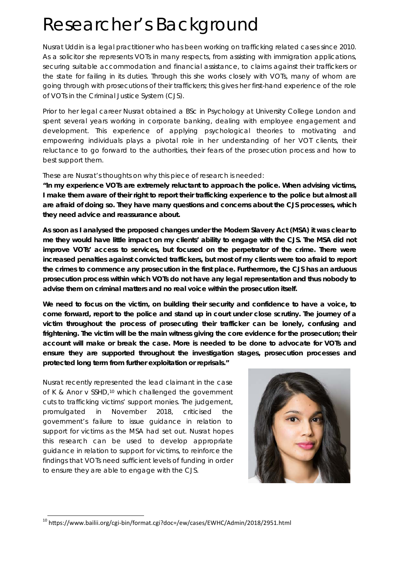### Researcher's Background

Nusrat Uddin is a legal practitioner who has been working on trafficking related cases since 2010. As a solicitor she represents VOTs in many respects, from assisting with immigration applications, securing suitable accommodation and financial assistance, to claims against their traffickers or the state for failing in its duties. Through this she works closely with VOTs, many of whom are going through with prosecutions of their traffickers; this gives her first-hand experience of the role of VOTs in the Criminal Justice System (CJS).

Prior to her legal career Nusrat obtained a BSc in Psychology at University College London and spent several years working in corporate banking, dealing with employee engagement and development. This experience of applying psychological theories to motivating and empowering individuals plays a pivotal role in her understanding of her VOT clients, their reluctance to go forward to the authorities, their fears of the prosecution process and how to best support them.

These are Nusrat's thoughts on why this piece of research is needed:

*"In my experience VOTs are extremely reluctant to approach the police. When advising victims, I* make them aware of their right to report their trafficking experience to the police but almost all *are afraid of doing so. They have many questions and concerns about the CJS processes, which they need advice and reassurance about.*

*As soon as I analysed the proposed changes under the Modern Slavery Act (MSA) it was clear to me they would have little impact on my clients' ability to engage with the CJS. The MSA did not improve VOTs' access to services, but focused on the perpetrator of the crime. There were increased penalties against convicted traffickers, but most of my clients were too afraid to report the crimes to commence any prosecution in the first place. Furthermore, the CJS has an arduous prosecution process within which VOTs do not have any legal representation and thus nobody to advise them on criminal matters and no real voice within the prosecution itself.*

*We need to focus on the victim, on building their security and confidence to have a voice, to come forward, report to the police and stand up in court under close scrutiny. The journey of a victim throughout the process of prosecuting their trafficker can be lonely, confusing and frightening. The victim will be the main witness giving the core evidence for the prosecution; their account will make or break the case. More is needed to be done to advocate for VOTs and ensure they are supported throughout the investigation stages, prosecution processes and protected long term from further exploitation or reprisals."*

Nusrat recently represented the lead claimant in the case of K & Anor v SSHD,<sup>[10](#page-6-0)</sup> which challenged the government cuts to trafficking victims' support monies. The judgement, promulgated in November 2018, criticised the government's failure to issue guidance in relation to support for victims as the MSA had set out. Nusrat hopes this research can be used to develop appropriate guidance in relation to support for victims, to reinforce the findings that VOTs need sufficient levels of funding in order to ensure they are able to engage with the CJS.



<span id="page-6-0"></span> $10$  https://www.bailii.org/cgi-bin/format.cgi?doc=/ew/cases/EWHC/Admin/2018/2951.html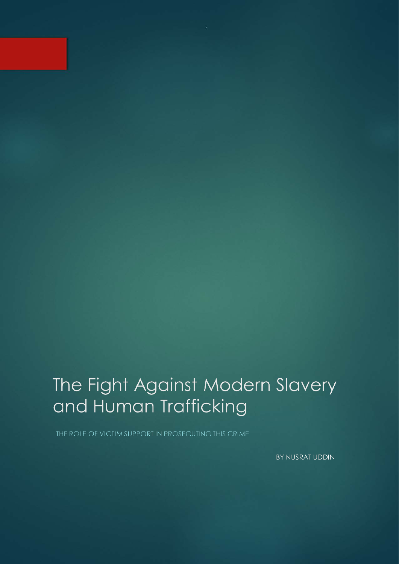# The Fight Against Modern Slavery and Human Trafficking

BY NUSRAT UDDIN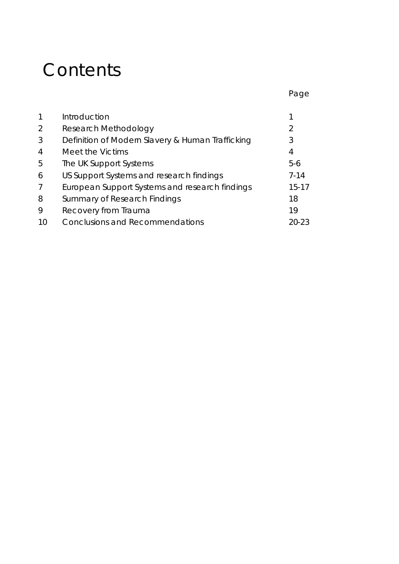### **Contents**

|    |                                                  | Page      |
|----|--------------------------------------------------|-----------|
|    |                                                  |           |
|    | Introduction                                     |           |
| 2  | Research Methodology                             | 2         |
| 3  | Definition of Modern Slavery & Human Trafficking | 3         |
| 4  | Meet the Victims                                 | 4         |
| 5  | The UK Support Systems                           | $5-6$     |
| 6  | US Support Systems and research findings         | $7 - 14$  |
|    | European Support Systems and research findings   | $15 - 17$ |
| 8  | Summary of Research Findings                     | 18        |
| 9  | Recovery from Trauma                             | 19        |
| 10 | <b>Conclusions and Recommendations</b>           | 20-23     |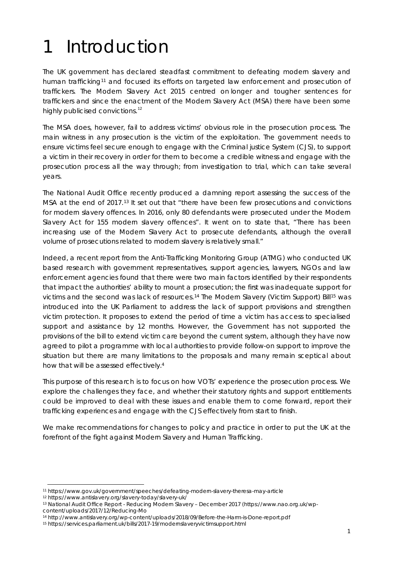# 1 Introduction

The UK government has declared steadfast commitment to defeating modern slavery and human trafficking<sup>[11](#page-9-0)</sup> and focused its efforts on targeted law enforcement and prosecution of traffickers. The Modern Slavery Act 2015 centred on longer and tougher sentences for traffickers and since the enactment of the Modern Slavery Act (MSA) there have been some highly publicised convictions.<sup>[12](#page-9-1)</sup>

The MSA does, however, fail to address victims' obvious role in the prosecution process. The main witness in any prosecution is the victim of the exploitation. The government needs to ensure victims feel secure enough to engage with the Criminal justice System (CJS), to support a victim in their recovery in order for them to become a credible witness and engage with the prosecution process all the way through; from investigation to trial, which can take several years.

The National Audit Office recently produced a damning report assessing the success of the MSA at the end of 2017.[13](#page-9-2) It set out that "there have been few prosecutions and convictions for modern slavery offences. In 2016, only 80 defendants were prosecuted under the Modern Slavery Act for 155 modern slavery offences". It went on to state that, "There has been increasing use of the Modern Slavery Act to prosecute defendants, although the overall volume of prosecutions related to modern slavery is relatively small."

Indeed, a recent report from the Anti-Trafficking Monitoring Group (ATMG) who conducted UK based research with government representatives, support agencies, lawyers, NGOs and law enforcement agencies found that there were two main factors identified by their respondents that impact the authorities' ability to mount a prosecution; the first was inadequate support for victims and the second was lack of resources.[14](#page-9-3) The Modern Slavery (Victim Support) Bill[15](#page-9-4) was introduced into the UK Parliament to address the lack of support provisions and strengthen victim protection. It proposes to extend the period of time a victim has access to specialised support and assistance by 12 months. However, the Government has not supported the provisions of the bill to extend victim care beyond the current system, although they have now agreed to pilot a programme with local authorities to provide follow-on support to improve the situation but there are many limitations to the proposals and many remain sceptical about how that will be assessed effectively.4

This purpose of this research is to focus on how VOTs' experience the prosecution process. We explore the challenges they face, and whether their statutory rights and support entitlements could be improved to deal with these issues and enable them to come forward, report their trafficking experiences and engage with the CJS effectively from start to finish.

We make recommendations for changes to policy and practice in order to put the UK at the forefront of the fight against Modern Slavery and Human Trafficking.

**.** 

<span id="page-9-0"></span><sup>11</sup> https://www.gov.uk/government/speeches/defeating-modern-slavery-theresa-may-article

<span id="page-9-1"></span><sup>12</sup> https://www.antislavery.org/slavery-today/slavery-uk/

<span id="page-9-2"></span><sup>13</sup> National Audit Office Report - Reducing Modern Slavery – December 2017 [\(https://www.nao.org.uk/wp](https://www.nao.org.uk/wp-content/uploads/2017/12/Reducing-Mo)[content/uploads/2017/12/Reducing-Mo](https://www.nao.org.uk/wp-content/uploads/2017/12/Reducing-Mo)

<span id="page-9-3"></span><sup>14</sup> http://www.antislavery.org/wp-content/uploads/2018/09/Before-the-Harm-is-Done-report.pdf

<span id="page-9-4"></span><sup>15</sup> https://services.parliament.uk/bills/2017-19/modernslaveryvictimsupport.html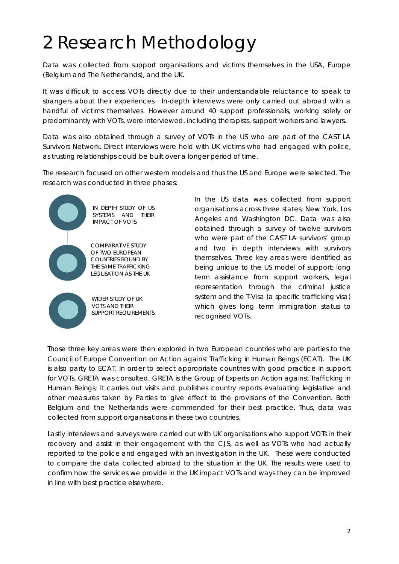# 2 Research Methodology

Data was collected from support organisations and victims themselves in the USA, Europe (Belgium and The Netherlands), and the UK.

It was difficult to access VOTs directly due to their understandable reluctance to speak to strangers about their experiences. In-depth interviews were only carried out abroad with a handful of victims themselves. However around 40 support professionals, working solely or predominantly with VOTs, were interviewed, including therapists, support workers and lawyers.

Data was also obtained through a survey of VOTs in the US who are part of the CAST LA Survivors Network. Direct interviews were held with UK victims who had engaged with police, as trusting relationships could be built over a longer period of time.

The research focused on other western models and thus the US and Europe were selected. The research was conducted in three phases:

> IN DEPTH STUDY OF US SYSTEMS AND THEIR IMPACT OF VOTS

COMPARATIVE STUDY OF TWO EUROPEAN COUNTRIES BOUND BY THE SAME TRAFFICKING LEGLISATION AS THE UK

WIDER STUDY OF UK VOTS AND THEIR SUPPORT REQUIREMENTS In the US data was collected from support organisations across three states; New York, Los Angeles and Washington DC. Data was also obtained through a survey of twelve survivors who were part of the CAST LA survivors' group and two in depth interviews with survivors themselves. Three key areas were identified as being unique to the US model of support; long term assistance from support workers, legal representation through the criminal justice system and the T-Visa (a specific trafficking visa) which gives long term immigration status to recognised VOTs.

Those three key areas were then explored in two European countries who are parties to the [Council of Europe Convention on Action against Trafficking in Human Beings \(](http://www.coe.int/en/web/conventions/full-list/-/conventions/rms/090000168008371d)ECAT). The UK is also party to ECAT. In order to select appropriate countries with good practice in support for VOTs, GRETA was consulted. GRETA is the Group of Experts on Action against Trafficking in Human Beings; it carries out visits and publishes country reports evaluating legislative and other measures taken by Parties to give effect to the provisions of the Convention. Both Belgium and the Netherlands were commended for their best practice. Thus, data was collected from support organisations in these two countries.

Lastly interviews and surveys were carried out with UK organisations who support VOTs in their recovery and assist in their engagement with the CJS, as well as VOTs who had actually reported to the police and engaged with an investigation in the UK. These were conducted to compare the data collected abroad to the situation in the UK. The results were used to confirm how the services we provide in the UK impact VOTs and ways they can be improved in line with best practice elsewhere.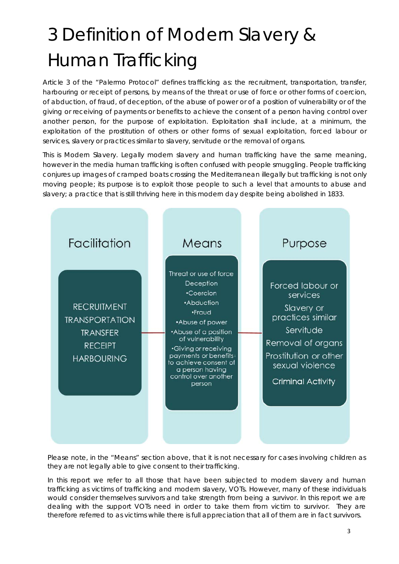# 3 Definition of Modern Slavery & Human Trafficking

Article 3 of the "Palermo Protocol" defines trafficking as: *the recruitment, transportation, transfer, harbouring or receipt of persons, by means of the threat or use of force or other forms of coercion, of abduction, of fraud, of deception, of the abuse of power or of a position of vulnerability or of the giving or receiving of payments or benefits to achieve the consent of a person having control over another person, for the purpose of exploitation. Exploitation shall include, at a minimum, the exploitation of the prostitution of others or other forms of sexual exploitation, forced labour or services, slavery or practices similar to slavery, servitude or the removal of organs.*

This is Modern Slavery. Legally modern slavery and human trafficking have the same meaning, however in the media human trafficking is often confused with people smuggling. People trafficking conjures up images of cramped boats crossing the Mediterranean illegally but trafficking is not only moving people; its purpose is to exploit those people to such a level that amounts to abuse and slavery; a practice that is still thriving here in this modern day despite being abolished in 1833.



Please note, in the "Means" section above, that it is not necessary for cases involving children as they are not legally able to give consent to their trafficking.

In this report we refer to all those that have been subjected to modern slavery and human trafficking as victims of trafficking and modern slavery, VOTs. However, many of these individuals would consider themselves survivors and take strength from being a survivor. In this report we are dealing with the support VOTs need in order to take them from victim to survivor. They are therefore referred to as victims while there is full appreciation that all of them are in fact survivors.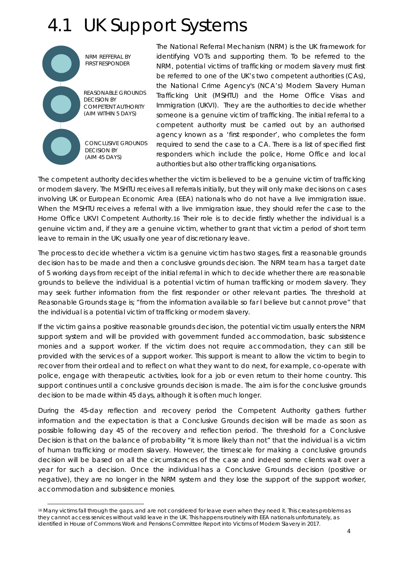### 4.1 UK Support Systems



1

The National Referral Mechanism (NRM) is the UK framework for identifying VOTs and supporting them. To be referred to the NRM, potential victims of trafficking or modern slavery must first be referred to one of the UK's two competent authorities (CAs), the National Crime Agency's (NCA's) Modern Slavery Human Trafficking Unit (MSHTU) and the Home Office Visas and Immigration (UKVI). They are the authorities to decide whether someone is a genuine victim of trafficking. The initial referral to a competent authority must be carried out by an authorised agency known as a 'first responder', who completes the form required to send the case to a CA. There is a list of specified first responders which include the police, Home Office and local authorities but also other trafficking organisations.

The competent authority decides whether the victim is believed to be a genuine victim of trafficking or modern slavery. The MSHTU receives all referrals initially, but they will only make decisions on cases involving UK or European Economic Area (EEA) nationals who do not have a live immigration issue. When the MSHTU receives a referral with a live immigration issue, they should refer the case to the Home Office UKVI Competent Authority.[16](#page-12-0) Their role is to decide firstly whether the individual is a genuine victim and, if they are a genuine victim, whether to grant that victim a period of short term leave to remain in the UK; usually one year of discretionary leave.

The process to decide whether a victim is a genuine victim has two stages, first a reasonable grounds decision has to be made and then a conclusive grounds decision. The NRM team has a target date of 5 working days from receipt of the initial referral in which to decide whether there are reasonable grounds to believe the individual is a potential victim of human trafficking or modern slavery. They may seek further information from the first responder or other relevant parties. The threshold at Reasonable Grounds stage is; "from the information available so far I believe but cannot prove" that the individual is a potential victim of trafficking or modern slavery.

If the victim gains a positive reasonable grounds decision, the potential victim usually enters the NRM support system and will be provided with government funded accommodation, basic subsistence monies and a support worker. If the victim does not require accommodation, they can still be provided with the services of a support worker. This support is meant to allow the victim to begin to recover from their ordeal and to reflect on what they want to do next, for example, co-operate with police, engage with therapeutic activities, look for a job or even return to their home country. This support continues until a conclusive grounds decision is made. The aim is for the conclusive grounds decision to be made within 45 days, although it is often much longer.

During the 45-day reflection and recovery period the Competent Authority gathers further information and the expectation is that a Conclusive Grounds decision will be made as soon as possible following day 45 of the recovery and reflection period. The threshold for a Conclusive Decision is that on the balance of probability "it is more likely than not" that the individual is a victim of human trafficking or modern slavery. However, the timescale for making a conclusive grounds decision will be based on all the circumstances of the case and indeed some clients wait over a year for such a decision. Once the individual has a Conclusive Grounds decision (positive or negative), they are no longer in the NRM system and they lose the support of the support worker, accommodation and subsistence monies.

<span id="page-12-0"></span><sup>16</sup> Many victims fall through the gaps, and are not considered for leave even when they need it. This creates problems as they cannot access services without valid leave in the UK. This happens routinely with EEA nationals unfortunately, as identified in House of Commons Work and Pensions Committee Report into Victims of Modern Slavery in 2017.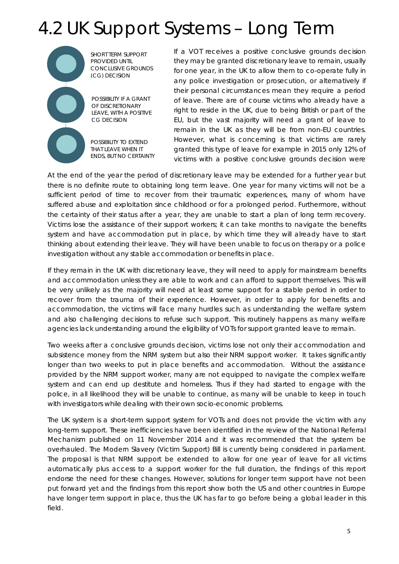# 4.2 UK Support Systems – Long Term



POSSIBILITY IF A GRANT OF DISCRETIONARY LEAVE, WITH A POSITIVE CG DECISION

POSSIBILITY TO EXTEND THAT LEAVE WHEN IT ENDS, BUT NO CERTAINTY If a VOT receives a positive conclusive grounds decision they may be granted discretionary leave to remain, usually for one year, in the UK to allow them to co-operate fully in any police investigation or prosecution, or alternatively if their personal circumstances mean they require a period of leave. There are of course victims who already have a right to reside in the UK, due to being British or part of the EU, but the vast majority will need a grant of leave to remain in the UK as they will be from non-EU countries. However, what is concerning is that victims are rarely granted this type of leave for example in 2015 only 12% of victims with a positive conclusive grounds decision were

At the end of the year the period of discretionary leave may be extended for a further year but there is no definite route to obtaining long term leave. One year for many victims will not be a sufficient period of time to recover from their traumatic experiences, many of whom have suffered abuse and exploitation since childhood or for a prolonged period. Furthermore, without the certainty of their status after a year, they are unable to start a plan of long term recovery. Victims lose the assistance of their support workers; it can take months to navigate the benefits system and have accommodation put in place, by which time they will already have to start thinking about extending their leave. They will have been unable to focus on therapy or a police investigation without any stable accommodation or benefits in place.

If they remain in the UK with discretionary leave, they will need to apply for mainstream benefits and accommodation unless they are able to work and can afford to support themselves. This will be very unlikely as the majority will need at least some support for a stable period in order to recover from the trauma of their experience. However, in order to apply for benefits and accommodation, the victims will face many hurdles such as understanding the welfare system and also challenging decisions to refuse such support. This routinely happens as many welfare agencies lack understanding around the eligibility of VOTs for support granted leave to remain.

Two weeks after a conclusive grounds decision, victims lose not only their accommodation and subsistence money from the NRM system but also their NRM support worker. It takes significantly longer than two weeks to put in place benefits and accommodation. Without the assistance provided by the NRM support worker, many are not equipped to navigate the complex welfare system and can end up destitute and homeless. Thus if they had started to engage with the police, in all likelihood they will be unable to continue, as many will be unable to keep in touch with investigators while dealing with their own socio-economic problems.

The UK system is a short-term support system for VOTs and does not provide the victim with any long-term support. These inefficiencies have been identified in the review of the National Referral Mechanism published on 11 November 2014 and it was recommended that the system be overhauled. The Modern Slavery (Victim Support) Bill is currently being considered in parliament. The proposal is that NRM support be extended to allow for one year of leave for all victims automatically plus access to a support worker for the full duration, the findings of this report endorse the need for these changes. However, solutions for longer term support have not been put forward yet and the findings from this report show both the US and other countries in Europe have longer term support in place, thus the UK has far to go before being a global leader in this field.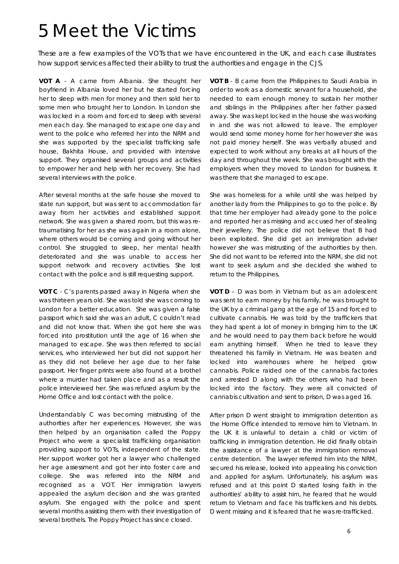### 5 Meet the Victims

These are a few examples of the VOTs that we have encountered in the UK, and each case illustrates how support services affected their ability to trust the authorities and engage in the CJS.

*VOT A - A came from Albania. She thought her boyfriend in Albania loved her but he started forcing her to sleep with men for money and then sold her to some men who brought her to London. In London she was locked in a room and forced to sleep with several men each day. She managed to escape one day and went to the police who referred her into the NRM and she was supported by the specialist trafficking safe house, Bakhita House, and provided with intensive support. They organised several groups and activities to empower her and help with her recovery. She had several interviews with the police.*

*After several months at the safe house she moved to state run support, but was sent to accommodation far away from her activities and established support network. She was given a shared room, but this was retraumatising for her as she was again in a room alone, where others would be coming and going without her control. She struggled to sleep, her mental health deteriorated and she was unable to access her support network and recovery activities. She lost contact with the police and is still requesting support.*

*VOT C - C's parents passed away in Nigeria when she was thirteen years old. She was told she was coming to London for a better education. She was given a false passport which said she was an adult, C couldn't read and did not know that. When she got here she was forced into prostitution until the age of 16 when she managed to escape. She was then referred to social services, who interviewed her but did not support her as they did not believe her age due to her false passport. Her finger prints were also found at a brothel where a murder had taken place and as a result the police interviewed her. She was refused asylum by the Home Office and lost contact with the police.*

*Understandably C was becoming mistrusting of the authorities after her experiences. However, she was then helped by an organisation called the Poppy Project who were a specialist trafficking organisation providing support to VOTs, independent of the state. Her support worker got her a lawyer who challenged her age assessment and got her into foster care and college. She was referred into the NRM and recognised as a VOT. Her immigration lawyers appealed the asylum decision and she was granted asylum. She engaged with the police and spent several months assisting them with their investigation of several brothels. The Poppy Project has since closed.*

*VOT B - B came from the Philippines to Saudi Arabia in order to work as a domestic servant for a household, she needed to earn enough money to sustain her mother and siblings in the Philippines after her father passed away. She was kept locked in the house she was working in and she was not allowed to leave. The employer would send some money home for her however she was not paid money herself. She was verbally abused and expected to work without any breaks at all hours of the day and throughout the week. She was brought with the employers when they moved to London for business. It was there that she managed to escape.*

*She was homeless for a while until she was helped by another lady from the Philippines to go to the police. By that time her employer had already gone to the police and reported her as missing and accused her of stealing their jewellery. The police did not believe that B had been exploited. She did get an immigration adviser however she was mistrusting of the authorities by then. She did not want to be referred into the NRM, she did not want to seek asylum and she decided she wished to return to the Philippines.*

*VOT D – D was born in Vietnam but as an adolescent was sent to earn money by his family, he was brought to the UK by a criminal gang at the age of 15 and forced to cultivate cannabis. He was told by the traffickers that they had spent a lot of money in bringing him to the UK and he would need to pay them back before he would earn anything himself. When he tried to leave they threatened his family in Vietnam. He was beaten and locked into warehouses where he helped grow cannabis. Police raided one of the cannabis factories and arrested D along with the others who had been locked into the factory. They were all convicted of cannabis cultivation and sent to prison, D was aged 16.* 

*After prison D went straight to immigration detention as the Home Office intended to remove him to Vietnam. In the UK it is unlawful to detain a child or victim of trafficking in immigration detention. He did finally obtain the assistance of a lawyer at the immigration removal centre detention. The lawyer referred him into the NRM, secured his release, looked into appealing his conviction and applied for asylum. Unfortunately, his asylum was refused and at this point D started losing faith in the authorities' ability to assist him, he feared that he would return to Vietnam and face his traffickers and his debts. D went missing and it is feared that he was re-trafficked.*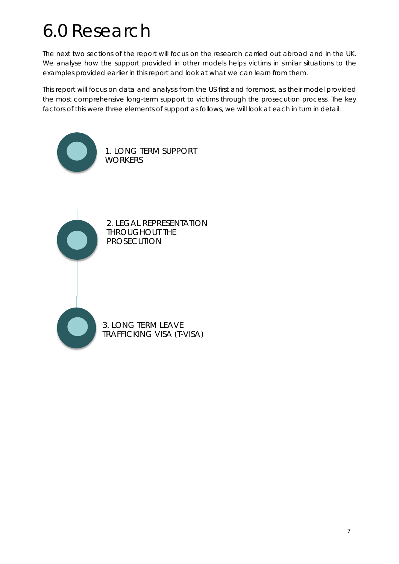# 6.0 Research

The next two sections of the report will focus on the research carried out abroad and in the UK. We analyse how the support provided in other models helps victims in similar situations to the examples provided earlier in this report and look at what we can learn from them.

This report will focus on data and analysis from the US first and foremost, as their model provided the most comprehensive long-term support to victims through the prosecution process. The key factors of this were three elements of support as follows, we will look at each in turn in detail.

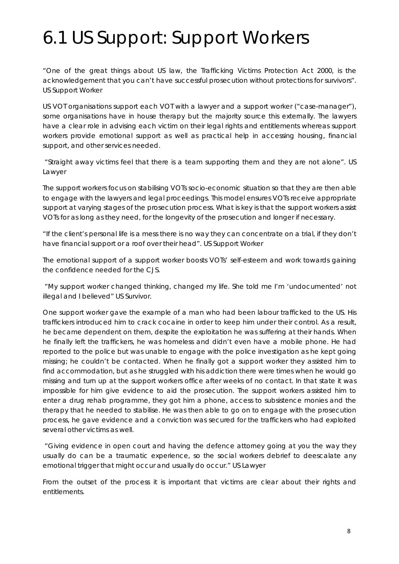# 6.1 US Support: Support Workers

*"One of the great things about US law, the Trafficking Victims Protection Act 2000, is the acknowledgement that you can't have successful prosecution without protections for survivors". US Support Worker* 

US VOT organisations support each VOT with a lawyer and a support worker ("case-manager"), some organisations have in house therapy but the majority source this externally. The lawyers have a clear role in advising each victim on their legal rights and entitlements whereas support workers provide emotional support as well as practical help in accessing housing, financial support, and other services needed.

*"Straight away victims feel that there is a team supporting them and they are not alone". US Lawyer*

The support workers focus on stabilising VOTs socio-economic situation so that they are then able to engage with the lawyers and legal proceedings. This model ensures VOTs receive appropriate support at varying stages of the prosecution process. What is key is that the support workers assist VOTs for as long as they need, for the longevity of the prosecution and longer if necessary.

*"If the client's personal life is a mess there is no way they can concentrate on a trial, if they don't have financial support or a roof over their head". US Support Worker*

The emotional support of a support worker boosts VOTs' self-esteem and work towards gaining the confidence needed for the CJS.

*"My support worker changed thinking, changed my life. She told me I'm 'undocumented' not illegal and I believed" US Survivor.* 

One support worker gave the example of a man who had been labour trafficked to the US. His traffickers introduced him to crack cocaine in order to keep him under their control. As a result, he became dependent on them, despite the exploitation he was suffering at their hands. When he finally left the traffickers, he was homeless and didn't even have a mobile phone. He had reported to the police but was unable to engage with the police investigation as he kept going missing; he couldn't be contacted. When he finally got a support worker they assisted him to find accommodation, but as he struggled with his addiction there were times when he would go missing and turn up at the support workers office after weeks of no contact. In that state it was impossible for him give evidence to aid the prosecution. The support workers assisted him to enter a drug rehab programme, they got him a phone, access to subsistence monies and the therapy that he needed to stabilise. He was then able to go on to engage with the prosecution process, he gave evidence and a conviction was secured for the traffickers who had exploited several other victims as well.

*"Giving evidence in open court and having the defence attorney going at you the way they usually do can be a traumatic experience, so the social workers debrief to deescalate any emotional trigger that might occur and usually do occur." US Lawyer*

From the outset of the process it is important that victims are clear about their rights and entitlements.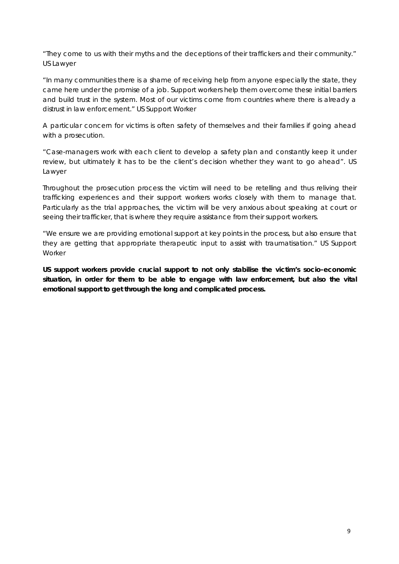*"They come to us with their myths and the deceptions of their traffickers and their community." US Lawyer*

*"In many communities there is a shame of receiving help from anyone especially the state, they came here under the promise of a job. Support workers help them overcome these initial barriers and build trust in the system. Most of our victims come from countries where there is already a distrust in law enforcement." US Support Worker*

A particular concern for victims is often safety of themselves and their families if going ahead with a prosecution.

*"Case-managers work with each client to develop a safety plan and constantly keep it under review, but ultimately it has to be the client's decision whether they want to go ahead". US Lawyer*

Throughout the prosecution process the victim will need to be retelling and thus reliving their trafficking experiences and their support workers works closely with them to manage that. Particularly as the trial approaches, the victim will be very anxious about speaking at court or seeing their trafficker, that is where they require assistance from their support workers.

*"We ensure we are providing emotional support at key points in the process, but also ensure that they are getting that appropriate therapeutic input to assist with traumatisation." US Support Worker*

**US support workers provide crucial support to not only stabilise the victim's socio-economic situation, in order for them to be able to engage with law enforcement, but also the vital emotional support to get through the long and complicated process.**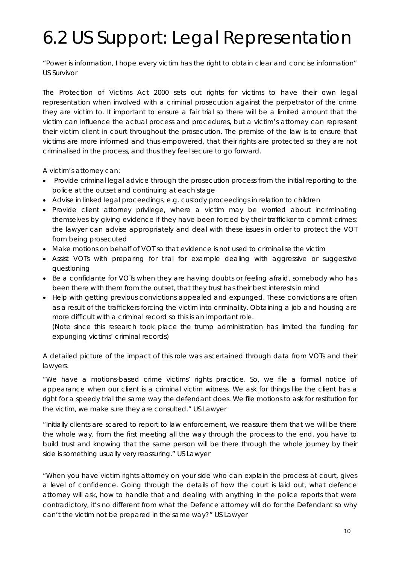# 6.2 US Support: Legal Representation

*"Power is information, I hope every victim has the right to obtain clear and concise information" US Survivor*

The Protection of Victims Act 2000 sets out rights for victims to have their own legal representation when involved with a criminal prosecution against the perpetrator of the crime they are victim to. It important to ensure a fair trial so there will be a limited amount that the victim can influence the actual process and procedures, but a victim's attorney can represent their victim client in court throughout the prosecution. The premise of the law is to ensure that victims are more informed and thus empowered, that their rights are protected so they are not criminalised in the process, and thus they feel secure to go forward.

A victim's attorney can:

- Provide criminal legal advice through the prosecution process from the initial reporting to the police at the outset and continuing at each stage
- Advise in linked legal proceedings, e.g. custody proceedings in relation to children
- Provide client attorney privilege, where a victim may be worried about incriminating themselves by giving evidence if they have been forced by their trafficker to commit crimes; the lawyer can advise appropriately and deal with these issues in order to protect the VOT from being prosecuted
- Make motions on behalf of VOT so that evidence is not used to criminalise the victim
- Assist VOTs with preparing for trial for example dealing with aggressive or suggestive questioning
- Be a confidante for VOTs when they are having doubts or feeling afraid, somebody who has been there with them from the outset, that they trust has their best interests in mind
- Help with getting previous convictions appealed and expunged. These convictions are often as a result of the traffickers forcing the victim into criminality. Obtaining a job and housing are more difficult with a criminal record so this is an important role.

(Note since this research took place the trump administration has limited the funding for expunging victims' criminal records)

A detailed picture of the impact of this role was ascertained through data from VOTs and their lawyers.

*"We have a motions-based crime victims' rights practice. So, we file a formal notice of appearance when our client is a criminal victim witness. We ask for things like the client has a*  right for a speedy trial the same way the defendant does. We file motions to ask for restitution for *the victim, we make sure they are consulted." US Lawyer*

*"Initially clients are scared to report to law enforcement, we reassure them that we will be there the whole way, from the first meeting all the way through the process to the end, you have to build trust and knowing that the same person will be there through the whole journey by their side is something usually very reassuring." US Lawyer*

*"When you have victim rights attorney on your side who can explain the process at court, gives a level of confidence. Going through the details of how the court is laid out, what defence attorney will ask, how to handle that and dealing with anything in the police reports that were contradictory, it's no different from what the Defence attorney will do for the Defendant so why can't the victim not be prepared in the same way?" US Lawyer*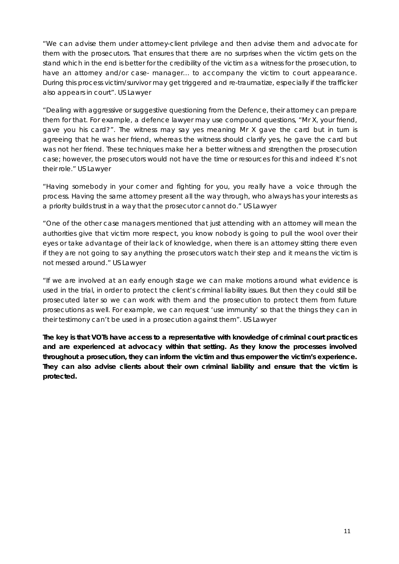*"We can advise them under attorney-client privilege and then advise them and advocate for them with the prosecutors. That ensures that there are no surprises when the victim gets on the stand which in the end is better for the credibility of the victim as a witness for the prosecution, to have an attorney and/or case- manager… to accompany the victim to court appearance. During this process victim/survivor may get triggered and re-traumatize, especially if the trafficker also appears in court". US Lawyer*

*"Dealing with aggressive or suggestive questioning from the Defence, their attorney can prepare them for that. For example, a defence lawyer may use compound questions, "Mr X, your friend, gave you his card?". The witness may say yes meaning Mr X gave the card but in turn is agreeing that he was her friend, whereas the witness should clarify yes, he gave the card but was not her friend. These techniques make her a better witness and strengthen the prosecution case; however, the prosecutors would not have the time or resources for this and indeed it's not their role." US Lawyer*

*"Having somebody in your corner and fighting for you, you really have a voice through the process. Having the same attorney present all the way through, who always has your interests as a priority builds trust in a way that the prosecutor cannot do." US Lawyer*

*"One of the other case managers mentioned that just attending with an attorney will mean the authorities give that victim more respect, you know nobody is going to pull the wool over their eyes or take advantage of their lack of knowledge, when there is an attorney sitting there even if they are not going to say anything the prosecutors watch their step and it means the victim is not messed around." US Lawyer*

*"If we are involved at an early enough stage we can make motions around what evidence is used in the trial, in order to protect the client's criminal liability issues. But then they could still be prosecuted later so we can work with them and the prosecution to protect them from future prosecutions as well. For example, we can request 'use immunity' so that the things they can in their testimony can't be used in a prosecution against them". US Lawyer*

**The key is that VOTs have access to a representative with knowledge of criminal court practices and are experienced at advocacy within that setting. As they know the processes involved throughout a prosecution, they can inform the victim and thus empower the victim's experience. They can also advise clients about their own criminal liability and ensure that the victim is protected.**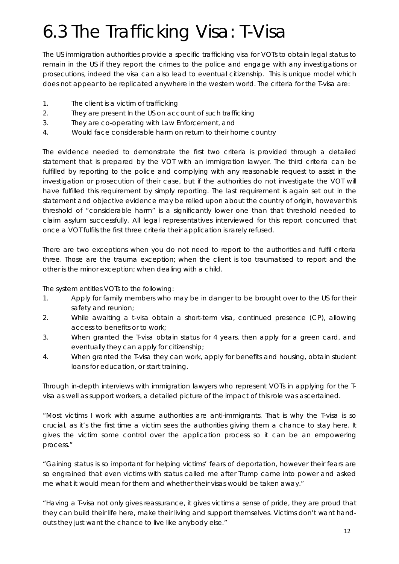# 6.3 The Trafficking Visa: T-Visa

The US immigration authorities provide a specific trafficking visa for VOTs to obtain legal status to remain in the US if they report the crimes to the police and engage with any investigations or prosecutions, indeed the visa can also lead to eventual citizenship. This is unique model which does not appear to be replicated anywhere in the western world. The criteria for the T-visa are:

- 1. The client is a victim of trafficking
- 2. They are present In the US on account of such trafficking
- 3. They are co-operating with Law Enforcement, and
- 4. Would face considerable harm on return to their home country

The evidence needed to demonstrate the first two criteria is provided through a detailed statement that is prepared by the VOT with an immigration lawyer. The third criteria can be fulfilled by reporting to the police and complying with any reasonable request to assist in the investigation or prosecution of their case, but if the authorities do not investigate the VOT will have fulfilled this requirement by simply reporting. The last requirement is again set out in the statement and objective evidence may be relied upon about the country of origin, however this threshold of "considerable harm" is a significantly lower one than that threshold needed to claim asylum successfully. All legal representatives interviewed for this report concurred that once a VOT fulfils the first three criteria their application is rarely refused.

There are two exceptions when you do not need to report to the authorities and fulfil criteria three. Those are the trauma exception; when the client is too traumatised to report and the other is the minor exception; when dealing with a child.

The system entitles VOTs to the following:

- 1. Apply for family members who may be in danger to be brought over to the US for their safety and reunion;
- 2. While awaiting a t-visa obtain a short-term visa, continued presence (CP), allowing access to benefits or to work;
- 3. When granted the T-visa obtain status for 4 years, then apply for a green card, and eventually they can apply for citizenship;
- 4. When granted the T-visa they can work, apply for benefits and housing, obtain student loans for education, or start training.

Through in-depth interviews with immigration lawyers who represent VOTs in applying for the Tvisa as well as support workers, a detailed picture of the impact of this role was ascertained.

*"Most victims I work with assume authorities are anti-immigrants. That is why the T-visa is so crucial, as it's the first time a victim sees the authorities giving them a chance to stay here. It gives the victim some control over the application process so it can be an empowering process."*

*"Gaining status is so important for helping victims' fears of deportation, however their fears are so engrained that even victims with status called me after Trump came into power and asked me what it would mean for them and whether their visas would be taken away."*

*"Having a T-visa not only gives reassurance, it gives victims a sense of pride, they are proud that they can build their life here, make their living and support themselves. Victims don't want handouts they just want the chance to live like anybody else."*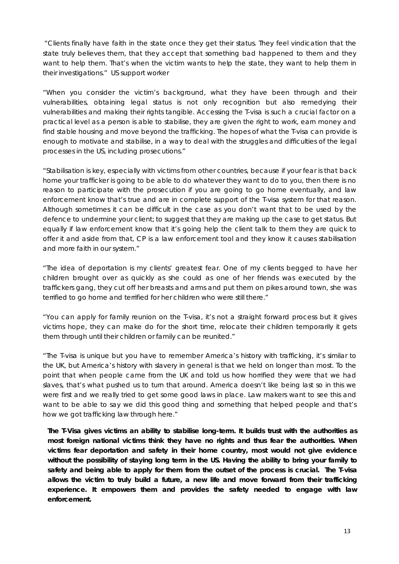*"Clients finally have faith in the state once they get their status. They feel vindication that the state truly believes them, that they* accept *that something bad happened to them and they want to help them. That's when the victim wants to help the state, they want to help them in their investigations."* US support worker

*"When you consider the victim's background, what they have been through and their vulnerabilities, obtaining legal status is not only recognition but also remedying their vulnerabilities and making their rights tangible. Accessing the T-visa is such a crucial factor on a practical level as a person is able to stabilise, they are given the right to work, earn money and* find stable housing and move beyond the trafficking. The hopes of what the T-visa can provide is *enough to motivate and stabilise, in a way to deal with the struggles and difficulties of the legal processes in the US, including prosecutions."*

*"Stabilisation is key, especially with victims from other countries, because if your fear is that back home your trafficker is going to be able to do whatever they want to do to you, then there is no reason to participate with the prosecution if you are going to go home eventually, and law enforcement know that's true and are in complete support of the T-visa system for that reason. Although sometimes it can be difficult in the case as you don't want that to be used by the defence to undermine your client; to suggest that they are making up the case to get status. But equally if law enforcement know that it's going help the client talk to them they are quick to offer it and aside from that, CP is a law enforcement tool and they know it causes stabilisation and more faith in our system."*

*"The idea of deportation is my clients' greatest fear. One of my clients begged to have her children brought over as quickly as she could as one of her friends was executed by the traffickers gang, they cut off her breasts and arms and put them on pikes around town, she was terrified to go home and terrified for her children who were still there."*

*"You can apply for family reunion on the T-visa, it's not a straight forward process but it gives victims hope, they can make do for the short time, relocate their children temporarily it gets them through until their children or family can be reunited."*

*"The T-visa is unique but you have to remember America's history with trafficking, it's similar to the UK, but America's history with slavery in general is that we held on longer than most. To the point that when people came from the UK and told us how horrified they were that we had slaves, that's what pushed us to turn that around. America doesn't like being last so in this we were first and we really tried to get some good laws in place. Law makers want to see this and want to be able to say we did this good thing and something that helped people and that's how we got trafficking law through here."*

**The T-Visa gives victims an ability to stabilise long-term. It builds trust with the authorities as most foreign national victims think they have no rights and thus fear the authorities. When victims fear deportation and safety in their home country, most would not give evidence without the possibility of staying long term in the US. Having the ability to bring your family to safety and being able to apply for them from the outset of the process is crucial. The T-visa allows the victim to truly build a future, a new life and move forward from their trafficking experience. It empowers them and provides the safety needed to engage with law enforcement.**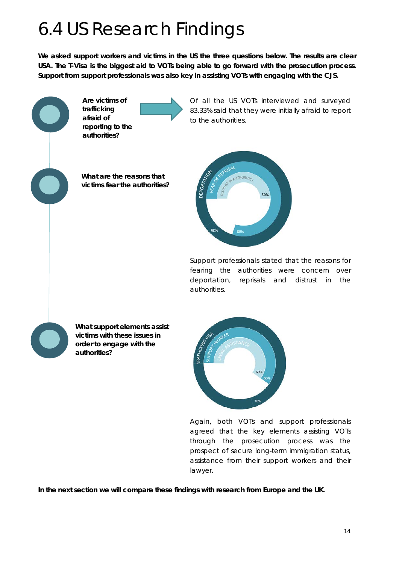# 6.4 US Research Findings

**We asked support workers and victims in the US the three questions below. The results are clear USA. The T-Visa is the biggest aid to VOTs being able to go forward with the prosecution process. Support from support professionals was also key in assisting VOTs with engaging with the CJS.**



Of all the US VOTs interviewed and surveyed 83.33% said that they were initially afraid to report to the authorities.

**What are the reasons that victims fear the authorities?**



Support professionals stated that the reasons for fearing the authorities were concern over deportation, reprisals and distrust in the authorities.



**What support elements assist victims with these issues in order to engage with the authorities?**



Again, both VOTs and support professionals agreed that the key elements assisting VOTs through the prosecution process was the prospect of secure long-term immigration status, assistance from their support workers and their lawyer.

**In the next section we will compare these findings with research from Europe and the UK.**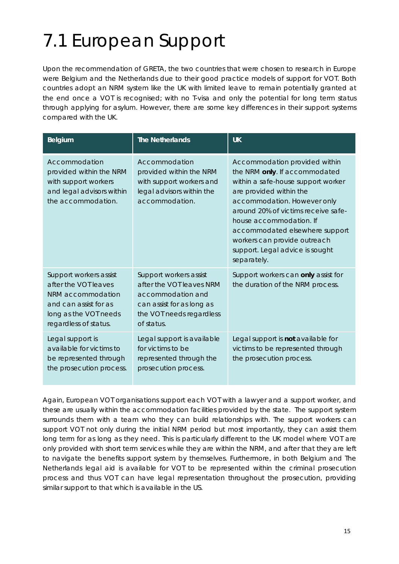# 7.1 European Support

Upon the recommendation of GRETA, the two countries that were chosen to research in Europe were Belgium and the Netherlands due to their good practice models of support for VOT. Both countries adopt an NRM system like the UK with limited leave to remain potentially granted at the end once a VOT is recognised; with no T-visa and only the potential for long term status through applying for asylum. However, there are some key differences in their support systems compared with the UK.

| Belgium                                                                                                                                        | <b>The Netherlands</b>                                                                                                                         | <b>UK</b>                                                                                                                                                                                                                                                                                                                                            |
|------------------------------------------------------------------------------------------------------------------------------------------------|------------------------------------------------------------------------------------------------------------------------------------------------|------------------------------------------------------------------------------------------------------------------------------------------------------------------------------------------------------------------------------------------------------------------------------------------------------------------------------------------------------|
| Accommodation<br>provided within the NRM<br>with support workers<br>and legal advisors within<br>the accommodation.                            | Accommodation<br>provided within the NRM<br>with support workers and<br>legal advisors within the<br>accommodation.                            | Accommodation provided within<br>the NRM only. If accommodated<br>within a safe-house support worker<br>are provided within the<br>accommodation. However only<br>around 20% of victims receive safe-<br>house accommodation. If<br>accommodated elsewhere support<br>workers can provide outreach<br>support. Legal advice is sought<br>separately. |
| Support workers assist<br>after the VOT leaves<br>NRM accommodation<br>and can assist for as<br>long as the VOT needs<br>regardless of status. | Support workers assist<br>after the VOT leaves NRM<br>accommodation and<br>can assist for as long as<br>the VOT needs regardless<br>of status. | Support workers can only assist for<br>the duration of the NRM process.                                                                                                                                                                                                                                                                              |
| Legal support is<br>available for victims to<br>be represented through<br>the prosecution process.                                             | Legal support is available<br>for victims to be<br>represented through the<br>prosecution process.                                             | Legal support is not available for<br>victims to be represented through<br>the prosecution process.                                                                                                                                                                                                                                                  |

Again, European VOT organisations support each VOT with a lawyer and a support worker, and these are usually within the accommodation facilities provided by the state. The support system surrounds them with a team who they can build relationships with. The support workers can support VOT not only during the initial NRM period but most importantly, they can assist them long term for as long as they need. This is particularly different to the UK model where VOT are only provided with short term services while they are within the NRM, and after that they are left to navigate the benefits support system by themselves. Furthermore, in both Belgium and The Netherlands legal aid is available for VOT to be represented within the criminal prosecution process and thus VOT can have legal representation throughout the prosecution, providing similar support to that which is available in the US.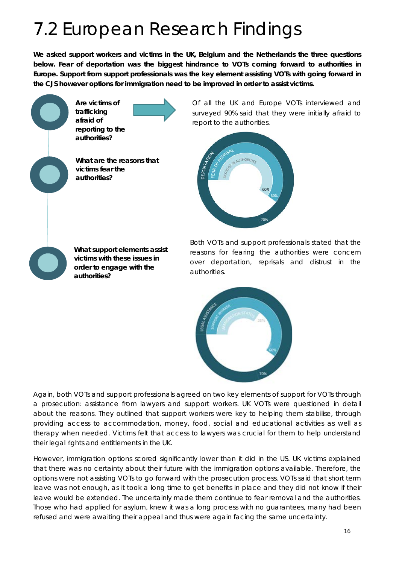# 7.2 European Research Findings

**We asked support workers and victims in the UK, Belgium and the Netherlands the three questions below. Fear of deportation was the biggest hindrance to VOTs coming forward to authorities in Europe. Support from support professionals was the key element assisting VOTs with going forward in the CJS however options for immigration need to be improved in order to assist victims.**

> **Are victims of trafficking afraid of reporting to the authorities?**

**What are the reasons that victims fear the authorities?**

Of all the UK and Europe VOTs interviewed and surveyed 90% said that they were initially afraid to report to the authorities.



**What support elements assist victims with these issues in order to engage with the authorities?**

Both VOTs and support professionals stated that the reasons for fearing the authorities were concern over deportation, reprisals and distrust in the authorities.



Again, both VOTs and support professionals agreed on two key elements of support for VOTs through a prosecution: assistance from lawyers and support workers. UK VOTs were questioned in detail about the reasons. They outlined that support workers were key to helping them stabilise, through providing access to accommodation, money, food, social and educational activities as well as therapy when needed. Victims felt that access to lawyers was crucial for them to help understand their legal rights and entitlements in the UK.

However, immigration options scored significantly lower than it did in the US. UK victims explained that there was no certainty about their future with the immigration options available. Therefore, the options were not assisting VOTs to go forward with the prosecution process. VOTs said that short term leave was not enough, as it took a long time to get benefits in place and they did not know if their leave would be extended. The uncertainly made them continue to fear removal and the authorities. Those who had applied for asylum, knew it was a long process with no guarantees, many had been refused and were awaiting their appeal and thus were again facing the same uncertainty.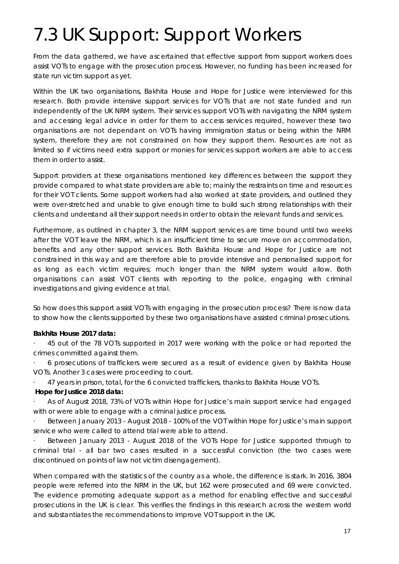# 7.3 UK Support: Support Workers

From the data gathered, we have ascertained that effective support from support workers does assist VOTs to engage with the prosecution process. However, no funding has been increased for state run victim support as yet.

Within the UK two organisations, Bakhita House and Hope for Justice were interviewed for this research. Both provide intensive support services for VOTs that are not state funded and run independently of the UK NRM system. Their services support VOTs with navigating the NRM system and accessing legal advice in order for them to access services required, however these two organisations are not dependant on VOTs having immigration status or being within the NRM system, therefore they are not constrained on how they support them. Resources are not as limited so if victims need extra support or monies for services support workers are able to access them in order to assist.

Support providers at these organisations mentioned key differences between the support they provide compared to what state providers are able to; mainly the restraints on time and resources for their VOT clients. Some support workers had also worked at state providers, and outlined they were over-stretched and unable to give enough time to build such strong relationships with their clients and understand all their support needs in order to obtain the relevant funds and services.

Furthermore, as outlined in chapter 3, the NRM support services are time bound until two weeks after the VOT leave the NRM, which is an insufficient time to secure move on accommodation, benefits and any other support services. Both Bakhita House and Hope for Justice are not constrained in this way and are therefore able to provide intensive and personalised support for as long as each victim requires; much longer than the NRM system would allow. Both organisations can assist VOT clients with reporting to the police, engaging with criminal investigations and giving evidence at trial.

So how does this support assist VOTs with engaging in the prosecution process? There is now data to show how the clients supported by these two organisations have assisted criminal prosecutions.

### **Bakhita House 2017 data:**

· 45 out of the 78 VOTs supported in 2017 were working with the police or had reported the crimes committed against them.

· 6 prosecutions of traffickers were secured as a result of evidence given by Bakhita House VOTs. Another 3 cases were proceeding to court.

· 47 years in prison, total, for the 6 convicted traffickers, thanks to Bakhita House VOTs.

#### **Hope for Justice 2018 data:**

· As of August 2018, 73% of VOTs within Hope for Justice's main support service had engaged with or were able to engage with a criminal justice process.

· Between January 2013 - August 2018 - 100% of the VOT within Hope for Justice's main support service who were called to attend trial were able to attend.

Between January 2013 - August 2018 of the VOTs Hope for Justice supported through to criminal trial - all bar two cases resulted in a successful conviction (the two cases were discontinued on points of law not victim disengagement).

When compared with the statistics of the country as a whole, the difference is stark. In 2016, 3804 people were referred into the NRM in the UK, but 162 were prosecuted and 69 were convicted. The evidence promoting adequate support as a method for enabling effective and successful prosecutions in the UK is clear. This verifies the findings in this research across the western world and substantiates the recommendations to improve VOT support in the UK.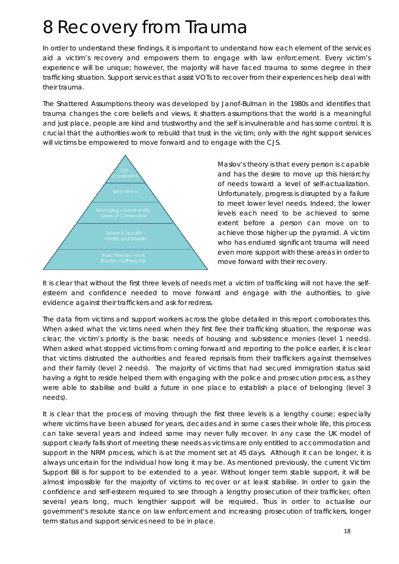# 8 Recovery from Trauma

In order to understand these findings, it is important to understand how each element of the services aid a victim's recovery and empowers them to engage with law enforcement. Every victim's experience will be unique; however, the majority will have faced trauma to some degree in their trafficking situation. Support services that assist VOTs to recover from their experiences help deal with their trauma.

The Shattered Assumptions theory was developed by Janof-Bulman in the 1980s and identifies that trauma changes the core beliefs and views, it shatters assumptions that the world is a meaningful and just place, people are kind and trustworthy and the self is invulnerable and has some control. It is crucial that the authorities work to rebuild that trust in the victim; only with the right support services will victims be empowered to move forward and to engage with the CJS.



Maslov's theory is that every person is capable and has the desire to move up this hierarchy of needs toward a level of self-actualization. Unfortunately, progress is disrupted by a failure to meet lower level needs. Indeed, the lower levels each need to be achieved to some extent before a person can move on to achieve those higher up the pyramid. A victim who has endured significant trauma will need even more support with these areas in order to move forward with their recovery.

It is clear that without the first three levels of needs met a victim of trafficking will not have the selfesteem and confidence needed to move forward and engage with the authorities, to give evidence against their traffickers and ask for redress.

The data from victims and support workers across the globe detailed in this report corroborates this. When asked what the victims need when they first flee their trafficking situation, the response was clear; the victim's priority is the basic needs of housing and subsistence monies (level 1 needs). When asked what stopped victims from coming forward and reporting to the police earlier, it is clear that victims distrusted the authorities and feared reprisals from their traffickers against themselves and their family (level 2 needs). The majority of victims that had secured immigration status said having a right to reside helped them with engaging with the police and prosecution process, as they were able to stabilise and build a future in one place to establish a place of belonging (level 3 needs).

It is clear that the process of moving through the first three levels is a lengthy course; especially where victims have been abused for years, decades and in some cases their whole life, this process can take several years and indeed some may never fully recover. In any case the UK model of support clearly falls short of meeting these needs as victims are only entitled to accommodation and support in the NRM process, which is at the moment set at 45 days. Although it can be longer, it is always uncertain for the individual how long it may be. As mentioned previously, the current Victim Support Bill is for support to be extended to a year. Without longer term stable support, it will be almost impossible for the majority of victims to recover or at least stabilise. In order to gain the confidence and self-esteem required to see through a lengthy prosecution of their trafficker, often several years long, much lengthier support will be required. Thus in order to actualise our government's resolute stance on law enforcement and increasing prosecution of traffickers, longer term status and support services need to be in place.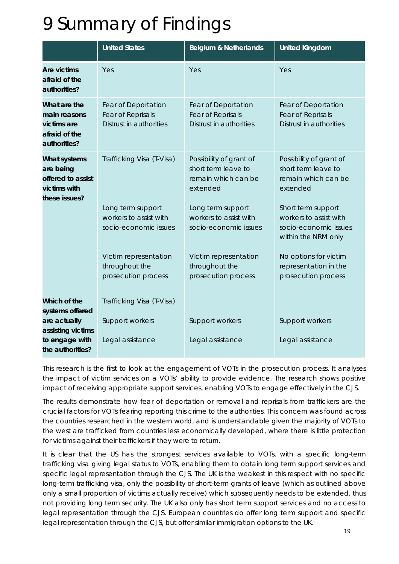## 9 Summary of Findings

|                                                                                                            | <b>United States</b>                                                                                                                         | <b>Belgium &amp; Netherlands</b>                                                                                                                                                                     | <b>United Kingdom</b>                                                                                                                                                                                                               |
|------------------------------------------------------------------------------------------------------------|----------------------------------------------------------------------------------------------------------------------------------------------|------------------------------------------------------------------------------------------------------------------------------------------------------------------------------------------------------|-------------------------------------------------------------------------------------------------------------------------------------------------------------------------------------------------------------------------------------|
| <b>Are victims</b><br>afraid of the<br>authorities?                                                        | Yes                                                                                                                                          | Yes                                                                                                                                                                                                  | Yes                                                                                                                                                                                                                                 |
| What are the<br>main reasons<br>victims are<br>afraid of the<br>authorities?                               | Fear of Deportation<br>Fear of Reprisals<br>Distrust in authorities                                                                          | Fear of Deportation<br>Fear of Reprisals<br>Distrust in authorities                                                                                                                                  | Fear of Deportation<br>Fear of Reprisals<br>Distrust in authorities                                                                                                                                                                 |
| What systems<br>are being<br>offered to assist<br>victims with<br>these issues?                            | Trafficking Visa (T-Visa)<br>Long term support<br>workers to assist with<br>socio-economic issues<br>Victim representation<br>throughout the | Possibility of grant of<br>short term leave to<br>remain which can be<br>extended<br>Long term support<br>workers to assist with<br>socio-economic issues<br>Victim representation<br>throughout the | Possibility of grant of<br>short term leave to<br>remain which can be<br>extended<br>Short term support<br>workers to assist with<br>socio-economic issues<br>within the NRM only<br>No options for victim<br>representation in the |
|                                                                                                            | prosecution process                                                                                                                          | prosecution process                                                                                                                                                                                  | prosecution process                                                                                                                                                                                                                 |
| Which of the<br>systems offered<br>are actually<br>assisting victims<br>to engage with<br>the authorities? | Trafficking Visa (T-Visa)<br>Support workers<br>Legal assistance                                                                             | Support workers<br>Legal assistance                                                                                                                                                                  | Support workers<br>Legal assistance                                                                                                                                                                                                 |

This research is the first to look at the engagement of VOTs in the prosecution process. It analyses the impact of victim services on a VOTs' ability to provide evidence. The research shows positive impact of receiving appropriate support services, enabling VOTs to engage effectively in the CJS.

The results demonstrate how fear of deportation or removal and reprisals from traffickers are the crucial factors for VOTs fearing reporting this crime to the authorities. This concern was found across the countries researched in the western world, and is understandable given the majority of VOTs to the west are trafficked from countries less economically developed, where there is little protection for victims against their traffickers if they were to return.

It is clear that the US has the strongest services available to VOTs, with a specific long-term trafficking visa giving legal status to VOTs, enabling them to obtain long term support services and specific legal representation through the CJS. The UK is the weakest in this respect with no specific long-term trafficking visa, only the possibility of short-term grants of leave (which as outlined above only a small proportion of victims actually receive) which subsequently needs to be extended, thus not providing long term security. The UK also only has short term support services and no access to legal representation through the CJS. European countries do offer long term support and specific legal representation through the CJS, but offer similar immigration options to the UK.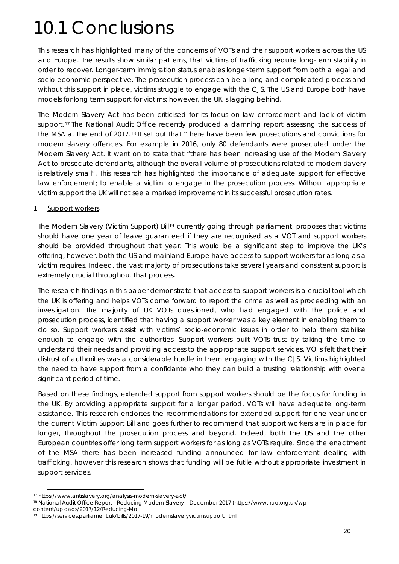# 10.1 Conclusions

This research has highlighted many of the concerns of VOTs and their support workers across the US and Europe. The results show similar patterns, that victims of trafficking require long-term stability in order to recover. Longer-term immigration status enables longer-term support from both a legal and socio-economic perspective. The prosecution process can be a long and complicated process and without this support in place, victims struggle to engage with the CJS. The US and Europe both have models for long term support for victims; however, the UK is lagging behind.

The Modern Slavery Act has been criticised for its focus on law enforcement and lack of victim support.<sup>[17](#page-28-0)</sup> The National Audit Office recently produced a damning report assessing the success of the MSA at the end of 2017.[18](#page-28-1) It set out that "there have been few prosecutions and convictions for modern slavery offences. For example in 2016, only 80 defendants were prosecuted under the Modern Slavery Act. It went on to state that "there has been increasing use of the Modern Slavery Act to prosecute defendants, although the overall volume of prosecutions related to modern slavery is relatively small". This research has highlighted the importance of adequate support for effective law enforcement; to enable a victim to engage in the prosecution process. Without appropriate victim support the UK will not see a marked improvement in its successful prosecution rates.

#### 1. Support workers

The Modern Slavery (Victim Support) Bill<sup>[19](#page-28-2)</sup> currently going through parliament, proposes that victims should have one year of leave guaranteed if they are recognised as a VOT and support workers should be provided throughout that year. This would be a significant step to improve the UK's offering, however, both the US and mainland Europe have access to support workers for as long as a victim requires. Indeed, the vast majority of prosecutions take several years and consistent support is extremely crucial throughout that process.

The research findings in this paper demonstrate that access to support workers is a crucial tool which the UK is offering and helps VOTs come forward to report the crime as well as proceeding with an investigation. The majority of UK VOTs questioned, who had engaged with the police and prosecution process, identified that having a support worker was a key element in enabling them to do so. Support workers assist with victims' socio-economic issues in order to help them stabilise enough to engage with the authorities. Support workers built VOTs trust by taking the time to understand their needs and providing access to the appropriate support services. VOTs felt that their distrust of authorities was a considerable hurdle in them engaging with the CJS. Victims highlighted the need to have support from a confidante who they can build a trusting relationship with over a significant period of time.

Based on these findings, extended support from support workers should be the focus for funding in the UK. By providing appropriate support for a longer period, VOTs will have adequate long-term assistance. This research endorses the recommendations for extended support for one year under the current Victim Support Bill and goes further to recommend that support workers are in place for longer, throughout the prosecution process and beyond. Indeed, both the US and the other European countries offer long term support workers for as long as VOTs require. Since the enactment of the MSA there has been increased funding announced for law enforcement dealing with trafficking, however this research shows that funding will be futile without appropriate investment in support services.

[content/uploads/2017/12/Reducing-Mo](https://www.nao.org.uk/wp-content/uploads/2017/12/Reducing-Mo)

**.** 

<span id="page-28-0"></span><sup>17</sup> https://www.antislavery.org/analysis-modern-slavery-act/

<span id="page-28-1"></span><sup>18</sup> National Audit Office Report - Reducing Modern Slavery – December 2017 [\(https://www.nao.org.uk/wp-](https://www.nao.org.uk/wp-content/uploads/2017/12/Reducing-Mo)

<span id="page-28-2"></span><sup>19</sup> https://services.parliament.uk/bills/2017-19/modernslaveryvictimsupport.html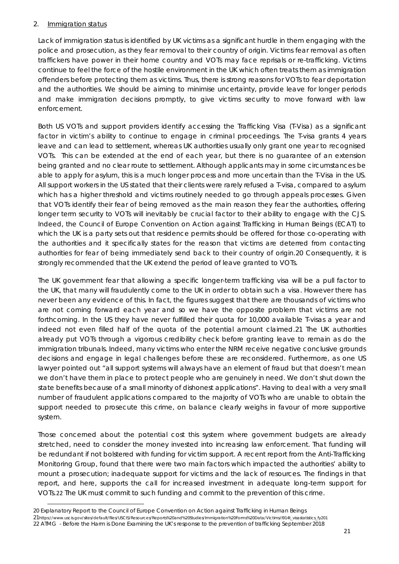### 2. Immigration status

1

Lack of immigration status is identified by UK victims as a significant hurdle in them engaging with the police and prosecution, as they fear removal to their country of origin. Victims fear removal as often traffickers have power in their home country and VOTs may face reprisals or re-trafficking. Victims continue to feel the force of the hostile environment in the UK which often treats them as immigration offenders before protecting them as victims. Thus, there is strong reasons for VOTs to fear deportation and the authorities. We should be aiming to minimise uncertainty, provide leave for longer periods and make immigration decisions promptly, to give victims security to move forward with law enforcement.

Both US VOTs and support providers identify accessing the Trafficking Visa (T-Visa) as a significant factor in victim's ability to continue to engage in criminal proceedings. The T-visa grants 4 years leave and can lead to settlement, whereas UK authorities usually only grant one year to recognised VOTs. This can be extended at the end of each year, but there is no guarantee of an extension being granted and no clear route to settlement. Although applicants may in some circumstances be able to apply for asylum, this is a much longer process and more uncertain than the T-Visa in the US. All support workers in the US stated that their clients were rarely refused a T-visa, compared to asylum which has a higher threshold and victims routinely needed to go through appeals processes. Given that VOTs identify their fear of being removed as the main reason they fear the authorities, offering longer term security to VOTs will inevitably be crucial factor to their ability to engage with the CJS. Indeed, the Council of Europe Convention on Action against Trafficking in Human Beings (ECAT) to which the UK is a party sets out that residence permits should be offered for those co-operating with the authorities and it specifically states for the reason that victims are deterred from contacting authorities for fear of being immediately send back to their country of origin.[20](#page-29-0) Consequently, it is strongly recommended that the UK extend the period of leave granted to VOTs.

The UK government fear that allowing a specific longer-term trafficking visa will be a pull factor to the UK, that many will fraudulently come to the UK in order to obtain such a visa. However there has never been any evidence of this. In fact, the figures suggest that there are thousands of victims who are not coming forward each year and so we have the opposite problem that victims are not forthcoming. In the US they have never fulfilled their quota for 10,000 available T-visas a year and indeed not even filled half of the quota of the potential amount claimed.[21](#page-29-1) The UK authorities already put VOTs through a vigorous credibility check before granting leave to remain as do the immigration tribunals. Indeed, many victims who enter the NRM receive negative conclusive grounds decisions and engage in legal challenges before these are reconsidered. Furthermore, as one US lawyer pointed out "all support systems will always have an element of fraud but that doesn't mean we don't have them in place to protect people who are genuinely in need. We don't shut down the state benefits because of a small minority of dishonest applications". Having to deal with a very small number of fraudulent applications compared to the majority of VOTs who are unable to obtain the support needed to prosecute this crime, on balance clearly weighs in favour of more supportive system.

Those concerned about the potential cost this system where government budgets are already stretched, need to consider the money invested into increasing law enforcement. That funding will be redundant if not bolstered with funding for victim support. A recent report from the Anti-Trafficking Monitoring Group, found that there were two main factors which impacted the authorities' ability to mount a prosecution; inadequate support for victims and the lack of resources. The findings in that report, and here, supports the call for increased investment in adequate long-term support for VOTs.[22](#page-29-2) The UK must commit to such funding and commit to the prevention of this crime.

<span id="page-29-2"></span><span id="page-29-1"></span><span id="page-29-0"></span><sup>20</sup> Explanatory Report to the Council of Europe Convention on Action against Trafficking in Human Beings 21https://www.uscis.gov/sites/default/files/USCIS/Resources/Reports%20and%20Studies/Immigration%20Forms%20Data/Victims/I914t\_visastatistics\_fy201 22 ATMG - Before the Harm is Done Examining the UK's response to the prevention of trafficking September 2018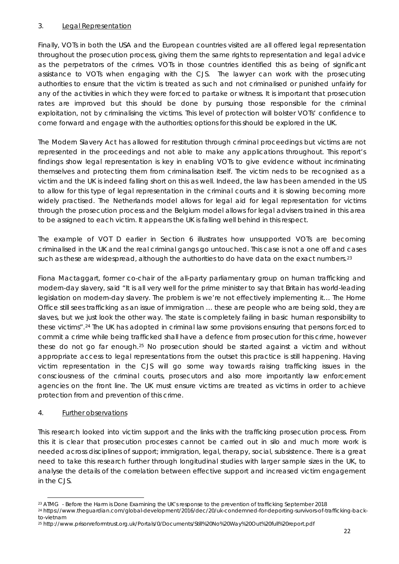### 3. Legal Representation

Finally, VOTs in both the USA and the European countries visited are all offered legal representation throughout the prosecution process, giving them the same rights to representation and legal advice as the perpetrators of the crimes. VOTs in those countries identified this as being of significant assistance to VOTs when engaging with the CJS. The lawyer can work with the prosecuting authorities to ensure that the victim is treated as such and not criminalised or punished unfairly for any of the activities in which they were forced to partake or witness. It is important that prosecution rates are improved but this should be done by pursuing those responsible for the criminal exploitation, not by criminalising the victims. This level of protection will bolster VOTs' confidence to come forward and engage with the authorities; options for this should be explored in the UK.

The Modern Slavery Act has allowed for restitution through criminal proceedings but victims are not represented in the proceedings and not able to make any applications throughout. This report's findings show legal representation is key in enabling VOTs to give evidence without incriminating themselves and protecting them from criminalisation itself. The victim neds to be recognised as a victim and the UK is indeed falling short on this as well. Indeed, the law has been amended in the US to allow for this type of legal representation in the criminal courts and it is slowing becoming more widely practised. The Netherlands model allows for legal aid for legal representation for victims through the prosecution process and the Belgium model allows for legal advisers trained in this area to be assigned to each victim. It appears the UK is falling well behind in this respect.

The example of VOT D earlier in Section 6 illustrates how unsupported VOTs are becoming criminalised in the UK and the real criminal gangs go untouched. This case is not a one off and cases such as these are widespread, although the authorities to do have data on the exact numbers.<sup>[23](#page-30-0)</sup>

Fiona Mactaggart, former co-chair of the all-party parliamentary group on human trafficking and modern-day slavery, said "*It is all very well for the prime minister to say that Britain has world-leading legislation on modern-day slavery. The problem is we're not effectively implementing it... The Home Office still sees trafficking as an issue of immigration … these are people who are being sold, they are slaves, but we just look the other way. The state is completely failing in basic human responsibility to these victims".*[24](#page-30-1) The UK has adopted in criminal law some provisions ensuring that persons forced to commit a crime while being trafficked shall have a defence from prosecution for this crime, however these do not go far enough.[25](#page-30-2) No prosecution should be started against a victim and without appropriate access to legal representations from the outset this practice is still happening. Having victim representation in the CJS will go some way towards raising trafficking issues in the consciousness of the criminal courts, prosecutors and also more importantly law enforcement agencies on the front line. The UK must ensure victims are treated as victims in order to achieve protection from and prevention of this crime.

### 4. Further observations

This research looked into victim support and the links with the trafficking prosecution process. From this it is clear that prosecution processes cannot be carried out in silo and much more work is needed across disciplines of support; immigration, legal, therapy, social, subsistence. There is a great need to take this research further through longitudinal studies with larger sample sizes in the UK, to analyse the details of the correlation between effective support and increased victim engagement in the CJS.

<span id="page-30-0"></span>**<sup>.</sup>** <sup>23</sup> ATMG - Before the Harm is Done Examining the UK's response to the prevention of trafficking September 2018

<span id="page-30-1"></span><sup>24</sup> https://www.theguardian.com/global-development/2016/dec/20/uk-condemned-for-deporting-survivors-of-trafficking-backto-vietnam

<span id="page-30-2"></span><sup>25</sup> http://www.prisonreformtrust.org.uk/Portals/0/Documents/Still%20No%20Way%20Out%20full%20report.pdf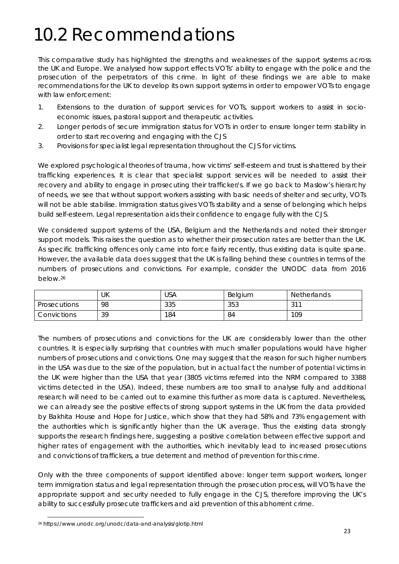# 10.2 Recommendations

This comparative study has highlighted the strengths and weaknesses of the support systems across the UK and Europe. We analysed how support effects VOTs' ability to engage with the police and the prosecution of the perpetrators of this crime. In light of these findings we are able to make recommendations for the UK to develop its own support systems in order to empower VOTs to engage with law enforcement:

- 1. Extensions to the duration of support services for VOTs, support workers to assist in socioeconomic issues, pastoral support and therapeutic activities.
- 2. Longer periods of secure immigration status for VOTs in order to ensure longer term stability in order to start recovering and engaging with the CJS
- 3. Provisions for specialist legal representation throughout the CJS for victims.

We explored psychological theories of trauma, how victims' self-esteem and trust is shattered by their trafficking experiences. It is clear that specialist support services will be needed to assist their recovery and ability to engage in prosecuting their trafficker/s. If we go back to Maslow's hierarchy of needs, we see that without support workers assisting with basic needs of shelter and security, VOTs will not be able stabilise. Immigration status gives VOTs stability and a sense of belonging which helps build self-esteem. Legal representation aids their confidence to engage fully with the CJS.

We considered support systems of the USA, Belgium and the Netherlands and noted their stronger support models. This raises the question as to whether their prosecution rates are better than the UK. As specific trafficking offences only came into force fairly recently, thus existing data is quite sparse. However, the available data does suggest that the UK is falling behind these countries in terms of the numbers of prosecutions and convictions. For example, consider the UNODC data from 2016 below.[26](#page-31-0)

|                     | UK | USA | Belgium | <b>Netherlands</b> |
|---------------------|----|-----|---------|--------------------|
| <b>Prosecutions</b> | 98 | 335 | 353     | $\neg$ 11<br>ັ     |
| Convictions         | 39 | 184 | 84      | 109                |

The numbers of prosecutions and convictions for the UK are considerably lower than the other countries. It is especially surprising that countries with much smaller populations would have higher numbers of prosecutions and convictions. One may suggest that the reason for such higher numbers in the USA was due to the size of the population, but in actual fact the number of potential victims in the UK were higher than the USA that year (3805 victims referred into the NRM compared to 3388 victims detected in the USA). Indeed, these numbers are too small to analyse fully and additional research will need to be carried out to examine this further as more data is captured. Nevertheless, we can already see the positive effects of strong support systems in the UK from the data provided by Bakhita House and Hope for Justice, which show that they had 58% and 73% engagement with the authorities which is significantly higher than the UK average. Thus the existing data strongly supports the research findings here, suggesting a positive correlation between effective support and higher rates of engagement with the authorities, which inevitably lead to increased prosecutions and convictions of traffickers, a true deterrent and method of prevention for this crime.

Only with the three components of support identified above: longer term support workers, longer term immigration status and legal representation through the prosecution process, will VOTs have the appropriate support and security needed to fully engage in the CJS, therefore improving the UK's ability to successfully prosecute traffickers and aid prevention of this abhorrent crime.

<span id="page-31-0"></span>**<sup>.</sup>** <sup>26</sup> https://www.unodc.org/unodc/data-and-analysis/glotip.html